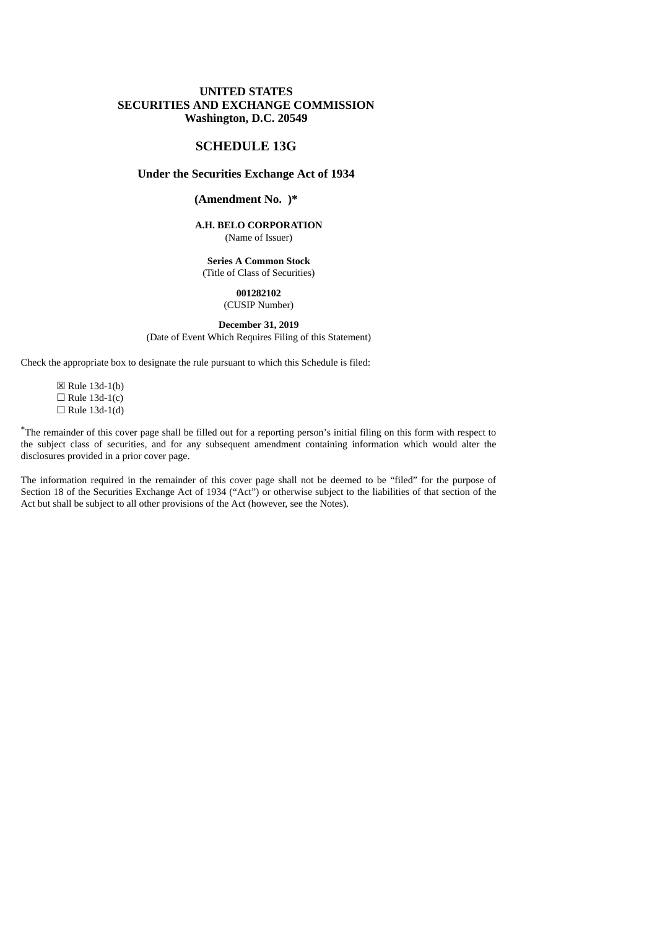#### **UNITED STATES SECURITIES AND EXCHANGE COMMISSION Washington, D.C. 20549**

#### **SCHEDULE 13G**

#### **Under the Securities Exchange Act of 1934**

## **(Amendment No. )\***

#### **A.H. BELO CORPORATION** (Name of Issuer)

## **Series A Common Stock**

(Title of Class of Securities)

#### **001282102** (CUSIP Number)

# **December 31, 2019**

(Date of Event Which Requires Filing of this Statement)

Check the appropriate box to designate the rule pursuant to which this Schedule is filed:

☒ Rule 13d-1(b)  $\Box$  Rule 13d-1(c)  $\Box$  Rule 13d-1(d)

\*The remainder of this cover page shall be filled out for a reporting person's initial filing on this form with respect to the subject class of securities, and for any subsequent amendment containing information which would alter the disclosures provided in a prior cover page.

The information required in the remainder of this cover page shall not be deemed to be "filed" for the purpose of Section 18 of the Securities Exchange Act of 1934 ("Act") or otherwise subject to the liabilities of that section of the Act but shall be subject to all other provisions of the Act (however, see the Notes).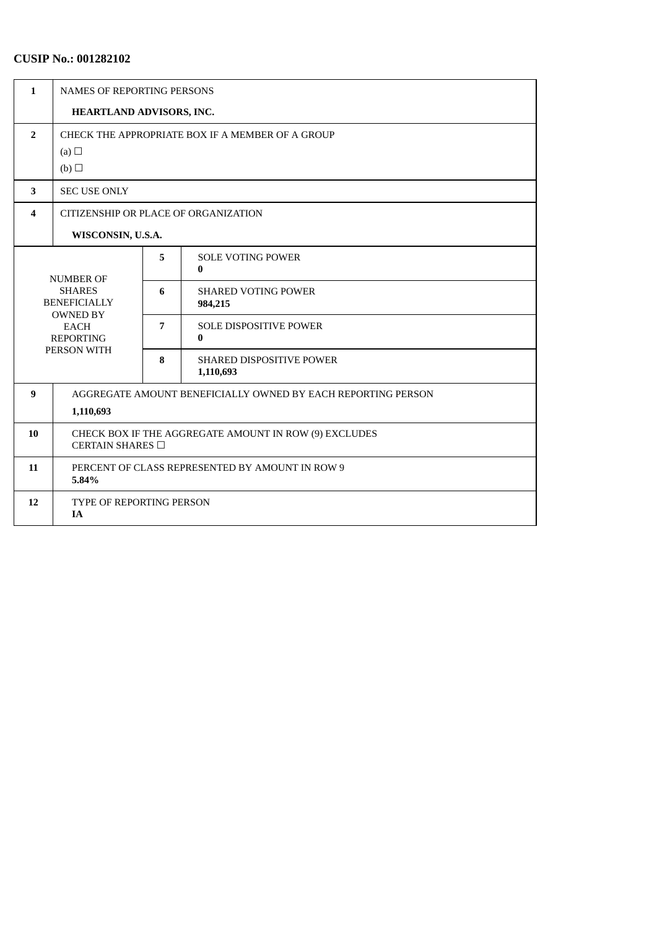# **CUSIP No.: 001282102**

| $\mathbf{1}$     | <b>NAMES OF REPORTING PERSONS</b>                                                                         |   |                                              |  |  |
|------------------|-----------------------------------------------------------------------------------------------------------|---|----------------------------------------------|--|--|
|                  | HEARTLAND ADVISORS, INC.                                                                                  |   |                                              |  |  |
| $\overline{2}$   | CHECK THE APPROPRIATE BOX IF A MEMBER OF A GROUP                                                          |   |                                              |  |  |
|                  | (a) $\Box$<br>(b)                                                                                         |   |                                              |  |  |
| 3                | <b>SEC USE ONLY</b>                                                                                       |   |                                              |  |  |
| 4                | CITIZENSHIP OR PLACE OF ORGANIZATION                                                                      |   |                                              |  |  |
|                  | WISCONSIN, U.S.A.                                                                                         |   |                                              |  |  |
| <b>NUMBER OF</b> |                                                                                                           | 5 | <b>SOLE VOTING POWER</b><br>$\bf{0}$         |  |  |
|                  | <b>SHARES</b><br><b>BENEFICIALLY</b><br><b>OWNED BY</b><br><b>EACH</b><br><b>REPORTING</b><br>PERSON WITH |   | <b>SHARED VOTING POWER</b><br>984,215        |  |  |
|                  |                                                                                                           |   | <b>SOLE DISPOSITIVE POWER</b><br>$\bf{0}$    |  |  |
|                  |                                                                                                           |   | <b>SHARED DISPOSITIVE POWER</b><br>1,110,693 |  |  |
| 9                | AGGREGATE AMOUNT BENEFICIALLY OWNED BY EACH REPORTING PERSON<br>1,110,693                                 |   |                                              |  |  |
| 10               | CHECK BOX IF THE AGGREGATE AMOUNT IN ROW (9) EXCLUDES<br>CERTAIN SHARES □                                 |   |                                              |  |  |
| 11               | PERCENT OF CLASS REPRESENTED BY AMOUNT IN ROW 9<br>5.84%                                                  |   |                                              |  |  |
| 12               | TYPE OF REPORTING PERSON<br><b>IA</b>                                                                     |   |                                              |  |  |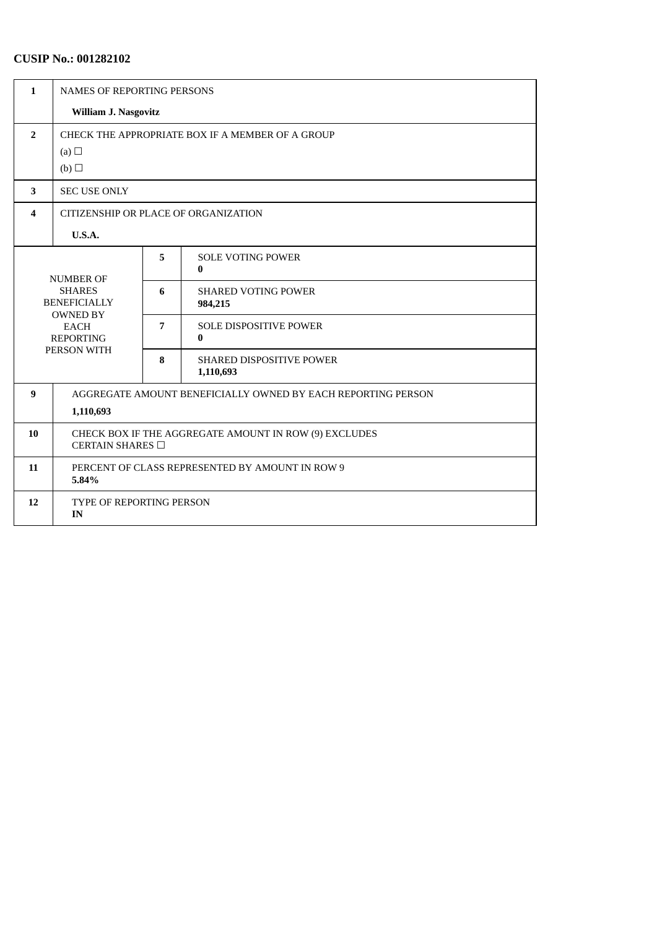# **CUSIP No.: 001282102**

| $\mathbf{1}$     | NAMES OF REPORTING PERSONS                                                                 |   |                                              |  |  |
|------------------|--------------------------------------------------------------------------------------------|---|----------------------------------------------|--|--|
|                  | William J. Nasgovitz                                                                       |   |                                              |  |  |
| $\overline{2}$   | CHECK THE APPROPRIATE BOX IF A MEMBER OF A GROUP<br>(a) $\Box$<br>(b)                      |   |                                              |  |  |
| 3                | <b>SEC USE ONLY</b>                                                                        |   |                                              |  |  |
| 4                | CITIZENSHIP OR PLACE OF ORGANIZATION                                                       |   |                                              |  |  |
|                  | <b>U.S.A.</b>                                                                              |   |                                              |  |  |
| <b>NUMBER OF</b> |                                                                                            | 5 | <b>SOLE VOTING POWER</b><br>$\bf{0}$         |  |  |
|                  | <b>SHARES</b><br><b>BENEFICIALLY</b><br><b>OWNED BY</b><br><b>EACH</b><br><b>REPORTING</b> |   | <b>SHARED VOTING POWER</b><br>984,215        |  |  |
|                  |                                                                                            |   | <b>SOLE DISPOSITIVE POWER</b><br>$\bf{0}$    |  |  |
| PERSON WITH      |                                                                                            | 8 | <b>SHARED DISPOSITIVE POWER</b><br>1,110,693 |  |  |
| 9                | AGGREGATE AMOUNT BENEFICIALLY OWNED BY EACH REPORTING PERSON<br>1,110,693                  |   |                                              |  |  |
| 10               | CHECK BOX IF THE AGGREGATE AMOUNT IN ROW (9) EXCLUDES<br>CERTAIN SHARES $\Box$             |   |                                              |  |  |
| 11               | PERCENT OF CLASS REPRESENTED BY AMOUNT IN ROW 9<br>5.84%                                   |   |                                              |  |  |
| 12               | <b>TYPE OF REPORTING PERSON</b><br>IN                                                      |   |                                              |  |  |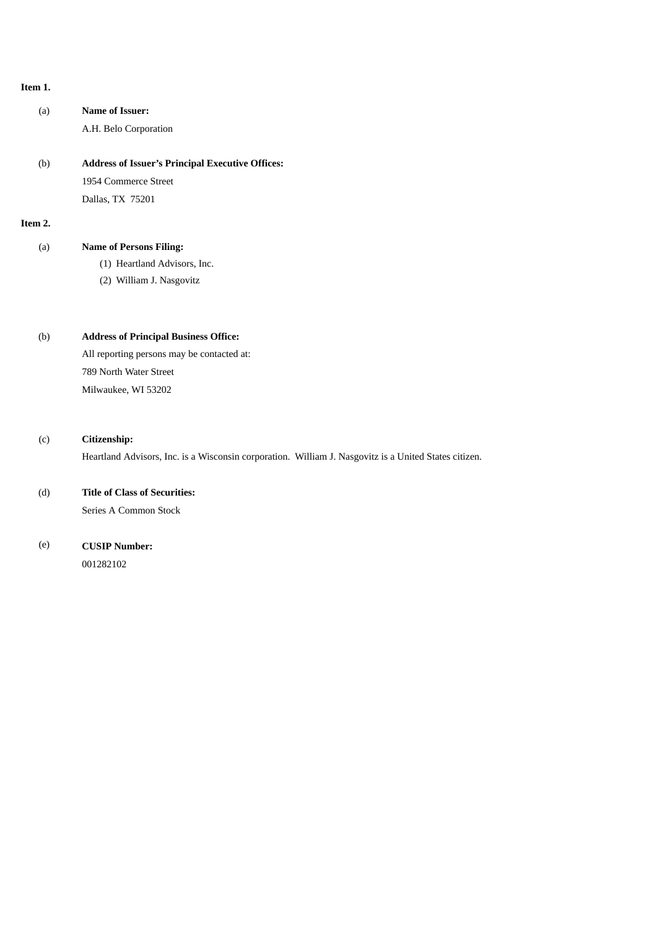#### **Item 1.**

(a) **Name of Issuer:** A.H. Belo Corporation

(b) **Address of Issuer's Principal Executive Offices:** 1954 Commerce Street Dallas, TX 75201

**Item 2.**

### (a) **Name of Persons Filing:**

- (1) Heartland Advisors, Inc.
- (2) William J. Nasgovitz

### (b) **Address of Principal Business Office:**

All reporting persons may be contacted at: 789 North Water Street Milwaukee, WI 53202

#### (c) **Citizenship:**

Heartland Advisors, Inc. is a Wisconsin corporation. William J. Nasgovitz is a United States citizen.

#### (d) **Title of Class of Securities:**

Series A Common Stock

## (e) **CUSIP Number:**

001282102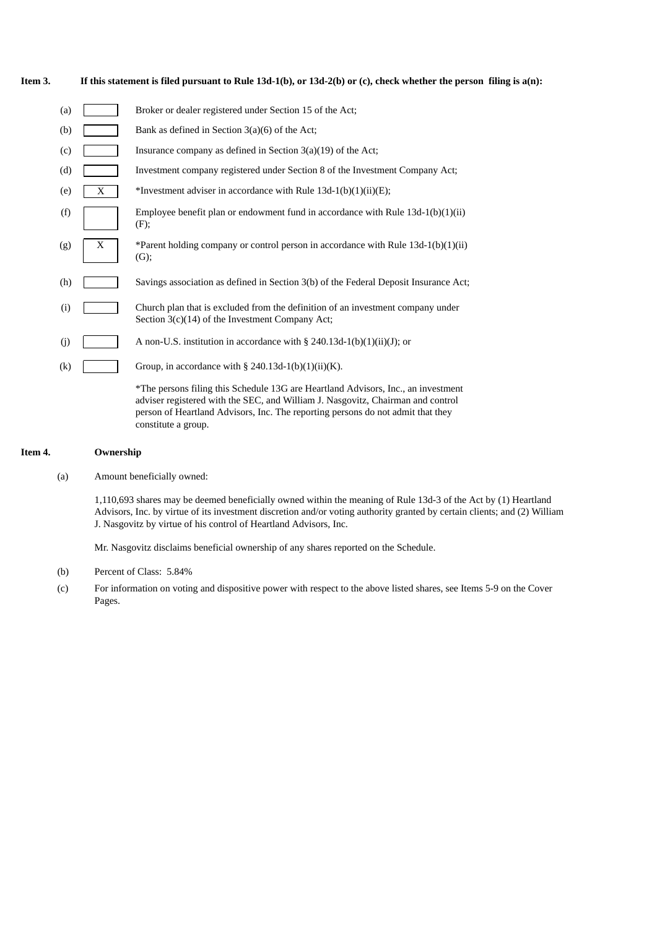| Item 3. | If this statement is filed pursuant to Rule $13d-1(b)$ , or $13d-2(b)$ or (c), check whether the person filing is $a(n)$ : |  |
|---------|----------------------------------------------------------------------------------------------------------------------------|--|
|---------|----------------------------------------------------------------------------------------------------------------------------|--|

| (a)               |   | Broker or dealer registered under Section 15 of the Act;                                                                                                                                                                                                                       |
|-------------------|---|--------------------------------------------------------------------------------------------------------------------------------------------------------------------------------------------------------------------------------------------------------------------------------|
| (b)               |   | Bank as defined in Section $3(a)(6)$ of the Act;                                                                                                                                                                                                                               |
| (c)               |   | Insurance company as defined in Section $3(a)(19)$ of the Act;                                                                                                                                                                                                                 |
| (d)               |   | Investment company registered under Section 8 of the Investment Company Act;                                                                                                                                                                                                   |
| (e)               | X | *Investment adviser in accordance with Rule $13d-1(b)(1)(ii)(E)$ ;                                                                                                                                                                                                             |
| (f)               |   | Employee benefit plan or endowment fund in accordance with Rule $13d-1(b)(1)(ii)$<br>(F);                                                                                                                                                                                      |
| (g)               | X | *Parent holding company or control person in accordance with Rule $13d-1(b)(1)(ii)$<br>(G);                                                                                                                                                                                    |
| (h)               |   | Savings association as defined in Section 3(b) of the Federal Deposit Insurance Act;                                                                                                                                                                                           |
| (i)               |   | Church plan that is excluded from the definition of an investment company under<br>Section $3(c)(14)$ of the Investment Company Act;                                                                                                                                           |
| (j)               |   | A non-U.S. institution in accordance with $\S$ 240.13d-1(b)(1)(ii)(J); or                                                                                                                                                                                                      |
| $\left( k\right)$ |   | Group, in accordance with § 240.13d-1(b)(1)(ii)(K).                                                                                                                                                                                                                            |
|                   |   | *The persons filing this Schedule 13G are Heartland Advisors, Inc., an investment<br>adviser registered with the SEC, and William J. Nasgovitz, Chairman and control<br>person of Heartland Advisors, Inc. The reporting persons do not admit that they<br>constitute a group. |

#### **Item 4. Ownership**

(a) Amount beneficially owned:

1,110,693 shares may be deemed beneficially owned within the meaning of Rule 13d-3 of the Act by (1) Heartland Advisors, Inc. by virtue of its investment discretion and/or voting authority granted by certain clients; and (2) William J. Nasgovitz by virtue of his control of Heartland Advisors, Inc.

Mr. Nasgovitz disclaims beneficial ownership of any shares reported on the Schedule.

- (b) Percent of Class: 5.84%
- (c) For information on voting and dispositive power with respect to the above listed shares, see Items 5-9 on the Cover Pages.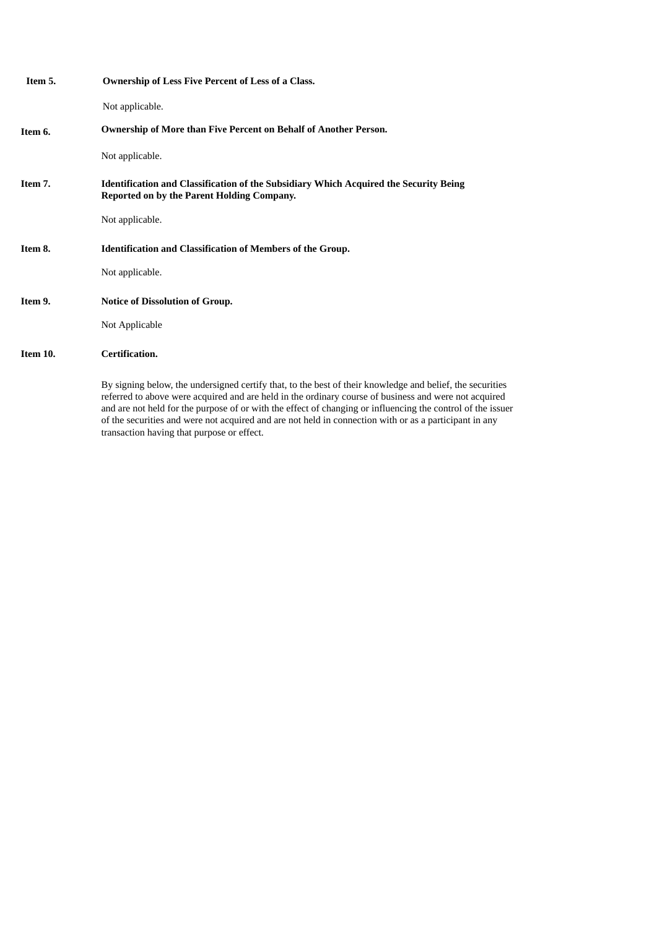| Item 5.  | <b>Ownership of Less Five Percent of Less of a Class.</b>                                                                                                                                                                                               |
|----------|---------------------------------------------------------------------------------------------------------------------------------------------------------------------------------------------------------------------------------------------------------|
|          | Not applicable.                                                                                                                                                                                                                                         |
| Item 6.  | Ownership of More than Five Percent on Behalf of Another Person.                                                                                                                                                                                        |
|          | Not applicable.                                                                                                                                                                                                                                         |
| Item 7.  | <b>Identification and Classification of the Subsidiary Which Acquired the Security Being</b><br>Reported on by the Parent Holding Company.                                                                                                              |
|          | Not applicable.                                                                                                                                                                                                                                         |
| Item 8.  | <b>Identification and Classification of Members of the Group.</b>                                                                                                                                                                                       |
|          | Not applicable.                                                                                                                                                                                                                                         |
| Item 9.  | <b>Notice of Dissolution of Group.</b>                                                                                                                                                                                                                  |
|          | Not Applicable                                                                                                                                                                                                                                          |
| Item 10. | Certification.                                                                                                                                                                                                                                          |
|          | By signing below, the undersigned certify that, to the best of their knowledge and belief, the securities<br>referred to above were acquired and are held in the ordinary course of business and were not acquired<br>and a casa correct a constant and |

referred to above were acquired and are held in the ordinary course of business and were not acquired and are not held for the purpose of or with the effect of changing or influencing the control of the issuer of the securities and were not acquired and are not held in connection with or as a participant in any transaction having that purpose or effect.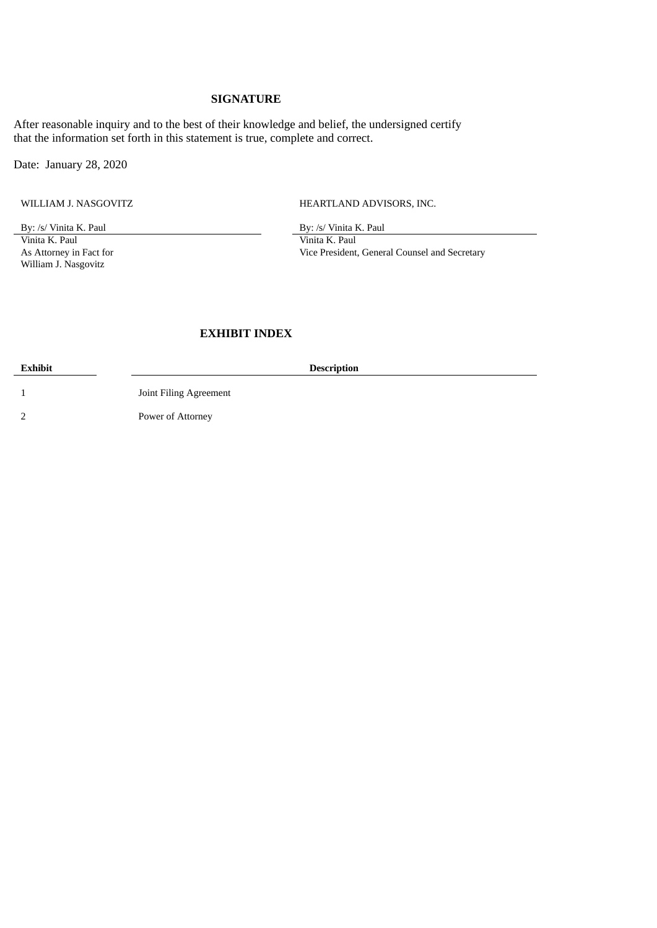### **SIGNATURE**

After reasonable inquiry and to the best of their knowledge and belief, the undersigned certify that the information set forth in this statement is true, complete and correct.

Date: January 28, 2020

WILLIAM J. NASGOVITZ **HEARTLAND ADVISORS, INC.** 

By: /s/ Vinita K. Paul By: /s/ Vinita K. Paul By: /s/ Vinita K. Paul By: /s/ Vinita K. Paul By: /s/ Vinita K. Paul By: /s/ Vinita K. Paul By: /s/ Vinita K. Paul By: /s/ Vinita K. Paul By: /s/ Vinita K. Paul By: /s/ Vinita As Attorney in Fact for William J. Nasgovitz

Vinita K. Paul Vice President, General Counsel and Secretary

## **EXHIBIT INDEX**

**Exhibit Description**

1 Joint Filing Agreement

2 Power of Attorney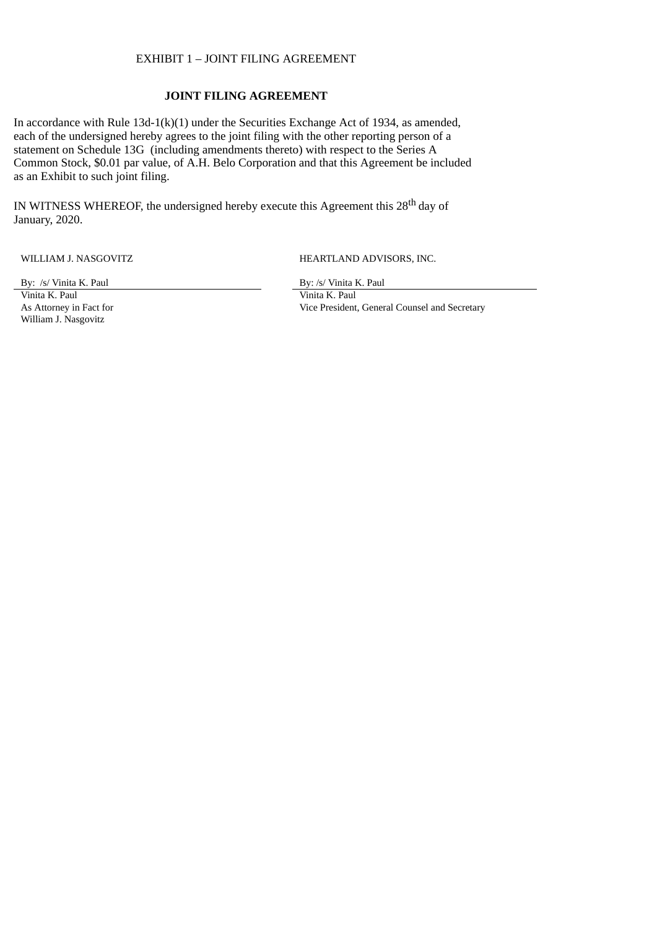#### EXHIBIT 1 – JOINT FILING AGREEMENT

### **JOINT FILING AGREEMENT**

In accordance with Rule 13d-1(k)(1) under the Securities Exchange Act of 1934, as amended, each of the undersigned hereby agrees to the joint filing with the other reporting person of a statement on Schedule 13G (including amendments thereto) with respect to the Series A Common Stock, \$0.01 par value, of A.H. Belo Corporation and that this Agreement be included as an Exhibit to such joint filing.

IN WITNESS WHEREOF, the undersigned hereby execute this Agreement this 28<sup>th</sup> day of January, 2020.

WILLIAM J. NASGOVITZ **HEARTLAND ADVISORS, INC.** 

By: /s/ Vinita K. Paul By: /s/ Vinita K. Paul

As Attorney in Fact for William J. Nasgovitz

Vinita K. Paul Vinita K. Paul Vice President, General Counsel and Secretary